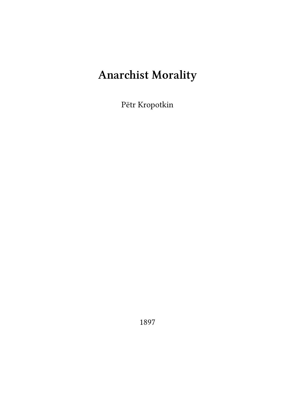# **Anarchist Morality**

Pëtr Kropotkin

1897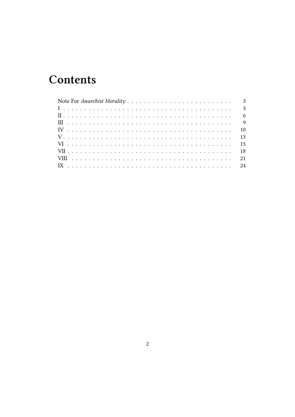## Contents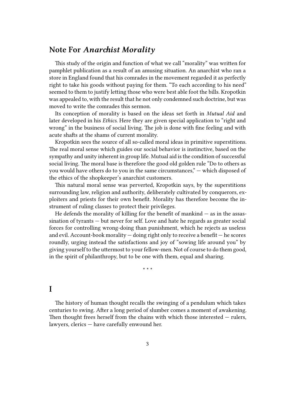#### <span id="page-2-0"></span>**Note For** *Anarchist Morality*

This study of the origin and function of what we call "morality" was written for pamphlet publication as a result of an amusing situation. An anarchist who ran a store in England found that his comrades in the movement regarded it as perfectly right to take his goods without paying for them. "To each according to his need" seemed to them to justify letting those who were best able foot the bills. Kropotkin was appealed to, with the result that he not only condemned such doctrine, but was moved to write the comrades this sermon.

Its conception of morality is based on the ideas set forth in *Mutual Aid* and later developed in his *Ethics*. Here they are given special application to "right and wrong" in the business of social living. The job is done with fine feeling and with acute shafts at the shams of current morality.

Kropotkin sees the source of all so-called moral ideas in primitive superstitions. The real moral sense which guides our social behavior is instinctive, based on the sympathy and unity inherent in group life. Mutual aid is the condition of successful social living. The moral base is therefore the good old golden rule "Do to others as you would have others do to you in the same circumstances," — which disposed of the ethics of the shopkeeper's anarchist customers.

This natural moral sense was perverted, Kropotkin says, by the superstitions surrounding law, religion and authority, deliberately cultivated by conquerors, exploiters and priests for their own benefit. Morality has therefore become the instrument of ruling classes to protect their privileges.

He defends the morality of killing for the benefit of mankind  $-$  as in the assassination of tyrants — but never for self. Love and hate he regards as greater social forces for controlling wrong-doing than punishment, which he rejects as useless and evil. Account-book morality — doing right only to receive a benefit — he scores roundly, urging instead the satisfactions and joy of "sowing life around you" by giving yourself to the uttermost to your fellow-men. Not of course to do them good, in the spirit of philanthropy, but to be one with them, equal and sharing.

\* \* \*

#### <span id="page-2-1"></span>**I**

The history of human thought recalls the swinging of a pendulum which takes centuries to swing. After a long period of slumber comes a moment of awakening. Then thought frees herself from the chains with which those interested — rulers, lawyers, clerics — have carefully enwound her.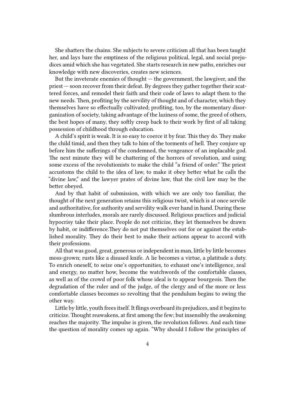She shatters the chains. She subjects to severe criticism all that has been taught her, and lays bare the emptiness of the religious political, legal, and social prejudices amid which she has vegetated. She starts research in new paths, enriches our knowledge with new discoveries, creates new sciences.

But the inveterate enemies of thought  $-$  the government, the lawgiver, and the priest — soon recover from their defeat. By degrees they gather together their scattered forces, and remodel their faith and their code of laws to adapt them to the new needs. Then, profiting by the servility of thought and of character, which they themselves have so effectually cultivated; profiting, too, by the momentary disorganization of society, taking advantage of the laziness of some, the greed of others, the best hopes of many, they softly creep back to their work by first of all taking possession of childhood through education.

A child's spirit is weak. It is so easy to coerce it by fear. This they do. They make the child timid, and then they talk to him of the torments of hell. They conjure up before him the sufferings of the condemned, the vengeance of an implacable god. The next minute they will be chattering of the horrors of revolution, and using some excess of the revolutionists to make the child "a friend of order." The priest accustoms the child to the idea of law, to make it obey better what he calls the "divine law," and the lawyer prates of divine law, that the civil law may be the better obeyed.

And by that habit of submission, with which we are only too familiar, the thought of the next generation retains this religious twist, which is at once servile and authoritative, for authority and servility walk ever hand in hand. During these slumbrous interludes, morals are rarely discussed. Religious practices and judicial hypocrisy take their place. People do not criticize, they let themselves be drawn by habit, or indifference.They do not put themselves out for or against the established morality. They do their best to make their actions appear to accord with their professions.

All that was good, great, generous or independent in man, little by little becomes moss-grown; rusts like a disused knife. A lie becomes a virtue, a platitude a duty. To enrich oneself, to seize one's opportunities, to exhaust one's intelligence, zeal and energy, no matter how, become the watchwords of the comfortable classes, as well as of the crowd of poor folk whose ideal is to appear bourgeois. Then the degradation of the ruler and of the judge, of the clergy and of the more or less comfortable classes becomes so revolting that the pendulum begins to swing the other way.

Little by little, youth frees itself. It flings overboard its prejudices, and it begins to criticize. Thought reawakens, at first among the few; but insensibly the awakening reaches the majority. The impulse is given, the revolution follows. And each time the question of morality comes up again. "Why should I follow the principles of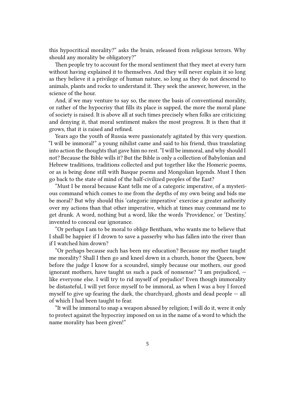this hypocritical morality?" asks the brain, released from religious terrors. Why should any morality be obligatory?"

Then people try to account for the moral sentiment that they meet at every turn without having explained it to themselves. And they will never explain it so long as they believe it a privilege of human nature, so long as they do not descend to animals, plants and rocks to understand it. They seek the answer, however, in the science of the hour.

And, if we may venture to say so, the more the basis of conventional morality, or rather of the hypocrisy that fills its place is sapped, the more the moral plane of society is raised. It is above all at such times precisely when folks are criticizing and denying it, that moral sentiment makes the most progress. It is then that it grows, that it is raised and refined.

Years ago the youth of Russia were passionately agitated by this very question. "I will be immoral!" a young nihilist came and said to his friend, thus translating into action the thoughts that gave him no rest. "I will be immoral, and why should I not? Because the Bible wills it? But the Bible is only a collection of Babylonian and Hebrew traditions, traditions collected and put together like the Homeric poems, or as is being done still with Basque poems and Mongolian legends. Must I then go back to the state of mind of the half-civilized peoples of the East?

"Must I be moral because Kant tells me of a categoric imperative, of a mysterious command which comes to me from the depths of my own being and bids me be moral? But why should this 'categoric imperative' exercise a greater authority over my actions than that other imperative, which at times may command me to get drunk. A word, nothing but a word, like the words 'Providence,' or 'Destiny,' invented to conceal our ignorance.

"Or perhaps I am to be moral to oblige Bentham, who wants me to believe that I shall be happier if I drown to save a passerby who has fallen into the river than if I watched him drown?

"Or perhaps because such has been my education? Because my mother taught me morality? Shall I then go and kneel down in a church, honor the Queen, bow before the judge I know for a scoundrel, simply because our mothers, our good ignorant mothers, have taught us such a pack of nonsense? "I am prejudiced, like everyone else. I will try to rid myself of prejudice! Even though immorality be distasteful, I will yet force myself to be immoral, as when I was a boy I forced myself to give up fearing the dark, the churchyard, ghosts and dead people — all of which I had been taught to fear.

"It will be immoral to snap a weapon abused by religion; I will do it, were it only to protect against the hypocrisy imposed on us in the name of a word to which the name morality has been given!"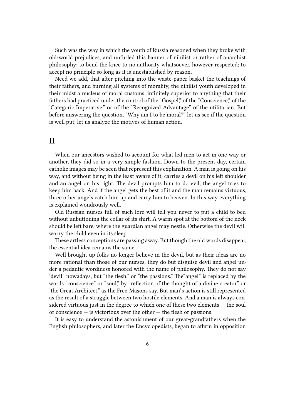Such was the way in which the youth of Russia reasoned when they broke with old-world prejudices, and unfurled this banner of nihilist or rather of anarchist philosophy: to bend the knee to no authority whatsoever, however respected; to accept no principle so long as it is unestablished by reason.

Need we add, that after pitching into the waste-paper basket the teachings of their fathers, and burning all systems of morality, the nihilist youth developed in their midst a nucleus of moral customs, infinitely superior to anything that their fathers had practiced under the control of the "Gospel," of the "Conscience," of the "Categoric Imperative," or of the "Recognized Advantage" of the utilitarian. But before answering the question, "Why am I to be moral?" let us see if the question is well put; let us analyze the motives of human action.

## <span id="page-5-0"></span>**II**

When our ancestors wished to account for what led men to act in one way or another, they did so in a very simple fashion. Down to the present day, certain catholic images may be seen that represent this explanation. A man is going on his way, and without being in the least aware of it, carries a devil on his left shoulder and an angel on his right. The devil prompts him to do evil, the angel tries to keep him back. And if the angel gets the best of it and the man remains virtuous, three other angels catch him up and carry him to heaven. In this way everything is explained wondrously well.

Old Russian nurses full of such lore will tell you never to put a child to bed without unbuttoning the collar of its shirt. A warm spot at the bottom of the neck should be left bare, where the guardian angel may nestle. Otherwise the devil will worry the child even in its sleep.

These artless conceptions are passing away. But though the old words disappear, the essential idea remains the same.

Well brought up folks no longer believe in the devil, but as their ideas are no more rational than those of our nurses, they do but disguise devil and angel under a pedantic wordiness honored with the name of philosophy. They do not say "devil" nowadays, but "the flesh," or "the passions." The"angel" is replaced by the words "conscience" or "soul," by "reflection of the thought of a divine creator" or "the Great Architect," as the Free-Masons say. But man's action is still represented as the result of a struggle between two hostile elements. And a man is always considered virtuous just in the degree to which one of these two elements — the soul or conscience  $-$  is victorious over the other  $-$  the flesh or passions.

It is easy to understand the astonishment of our great-grandfathers when the English philosophers, and later the Encyclopedists, began to affirm in opposition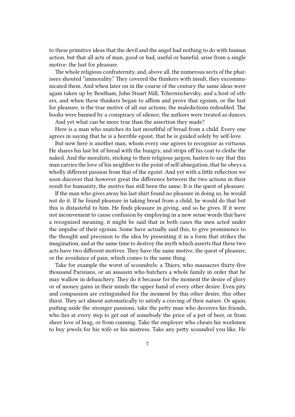to these primitive ideas that the devil and the angel had nothing to do with human action, but that all acts of man, good or bad, useful or baneful, arise from a single motive: the lust for pleasure.

The whole religious confraternity, and, above all, the numerous sects of the pharisees shouted "immorality." They covered the thinkers with insult, they excommunicated them. And when later on in the course of the century the same ideas were again taken up by Bentham, John Stuart Mill, Tchernischevsky, and a host of others, and when these thinkers began to affirm and prove that egoism, or the lust for pleasure, is the true motive of all our actions, the maledictions redoubled. The books were banned by a conspiracy of silence; the authors were treated as dunces.

And yet what can be more true than the assertion they made?

Here is a man who snatches its last mouthful of bread from a child. Every one agrees in saying that he is a horrible egoist, that he is guided solely by self-love.

But now here is another man, whom every one agrees to recognize as virtuous. He shares his last bit of bread with the hungry, and strips off his coat to clothe the naked. And the moralists, sticking to their religious jargon, hasten to say that this man carries the love of his neighbor to the point of self-abnegation, that he obeys a wholly different passion from that of the egoist. And yet with a little reflection we soon discover that however great the difference between the two actions in their result for humanity, the motive has still been the same. It is the quest of pleasure.

If the man who gives away his last shirt found no pleasure in doing so, he would not do it. If he found pleasure in taking bread from a child, he would do that but this is distasteful to him. He finds pleasure in giving, and so he gives. If it were not inconvenient to cause confusion by employing in a new sense words that have a recognized meaning, it might be said that in both cases the men acted under the impulse of their egoism. Some have actually said this, to give prominence to the thought and precision to the idea by presenting it in a form that strikes the imagination, and at the same time to destroy the myth which asserts that these two acts have two different motives. They have the same motive, the quest of pleasure, or the avoidance of pain, which comes to the same thing.

Take for example the worst of scoundrels: a Thiers, who massacres thirty-five thousand Parisians, or an assassin who butchers a whole family in order that he may wallow in debauchery. They do it because for the moment the desire of glory or of money gains in their minds the upper hand of every other desire. Even pity and compassion are extinguished for the moment by this other desire, this other thirst. They act almost automatically to satisfy a craving of their nature. Or again, putting aside the stronger passions, take the petty man who deceives his friends, who lies at every step to get out of somebody the price of a pot of beer, or from sheer love of brag, or from cunning. Take the employer who cheats his workmen to buy jewels for his wife or his mistress. Take any petty scoundrel you like. He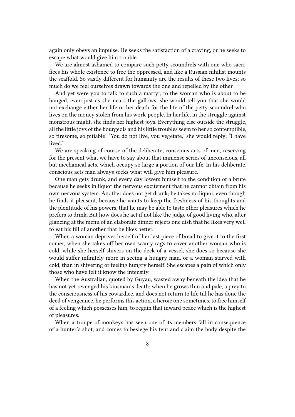again only obeys an impulse. He seeks the satisfaction of a craving, or he seeks to escape what would give him trouble.

We are almost ashamed to compare such petty scoundrels with one who sacrifices his whole existence to free the oppressed, and like a Russian nihilist mounts the scaffold. So vastly different for humanity are the results of these two lives; so much do we feel ourselves drawn towards the one and repelled by the other.

And yet were you to talk to such a martyr, to the woman who is about to be hanged, even just as she nears the gallows, she would tell you that she would not exchange either her life or her death for the life of the petty scoundrel who lives on the money stolen from his work-people. In her life, in the struggle against monstrous might, she finds her highest joys. Everything else outside the struggle, all the little joys of the bourgeois and his little troubles seem to her so contemptible, so tiresome, so pitiable! "You do not live, you vegetate," she would reply; "I have lived."

We are speaking of course of the deliberate, conscious acts of men, reserving for the present what we have to say about that immense series of unconscious, all but mechanical acts, which occupy so large a portion of our life. In his deliberate, conscious acts man always seeks what will give him pleasure.

One man gets drunk, and every day lowers himself to the condition of a brute because he seeks in liquor the nervous excitement that he cannot obtain from his own nervous system. Another does not get drunk; he takes no liquor, even though he finds it pleasant, because he wants to keep the freshness of his thoughts and the plentitude of his powers, that he may be able to taste other pleasures which he prefers to drink. But how does he act if not like the judge of good living who, after glancing at the menu of an elaborate dinner rejects one dish that he likes very well to eat his fill of another that he likes better.

When a woman deprives herself of her last piece of bread to give it to the first comer, when she takes off her own scanty rags to cover another woman who is cold, while she herself shivers on the deck of a vessel, she does so because she would suffer infinitely more in seeing a hungry man, or a woman starved with cold, than in shivering or feeling hungry herself. She escapes a pain of which only those who have felt it know the intensity.

When the Australian, quoted by Guyau, wasted away beneath the idea that he has not yet revenged his kinsman's death; when he grows thin and pale, a prey to the consciousness of his cowardice, and does not return to life till he has done the deed of vengeance, he performs this action, a heroic one sometimes, to free himself of a feeling which possesses him, to regain that inward peace which is the highest of pleasures.

When a troupe of monkeys has seen one of its members fall in consequence of a hunter's shot, and comes to besiege his tent and claim the body despite the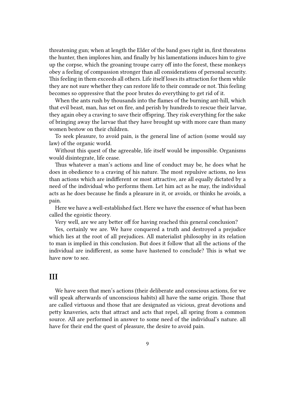threatening gun; when at length the Elder of the band goes right in, first threatens the hunter, then implores him, and finally by his lamentations induces him to give up the corpse, which the groaning troupe carry off into the forest, these monkeys obey a feeling of compassion stronger than all considerations of personal security. This feeling in them exceeds all others. Life itself loses its attraction for them while they are not sure whether they can restore life to their comrade or not. This feeling becomes so oppressive that the poor brutes do everything to get rid of it.

When the ants rush by thousands into the flames of the burning ant-hill, which that evil beast, man, has set on fire, and perish by hundreds to rescue their larvae, they again obey a craving to save their offspring. They risk everything for the sake of bringing away the larvae that they have brought up with more care than many women bestow on their children.

To seek pleasure, to avoid pain, is the general line of action (some would say law) of the organic world.

Without this quest of the agreeable, life itself would be impossible. Organisms would disintegrate, life cease.

Thus whatever a man's actions and line of conduct may be, he does what he does in obedience to a craving of his nature. The most repulsive actions, no less than actions which are indifferent or most attractive, are all equally dictated by a need of the individual who performs them. Let him act as he may, the individual acts as he does because he finds a pleasure in it, or avoids, or thinks he avoids, a pain.

Here we have a well-established fact. Here we have the essence of what has been called the egoistic theory.

Very well, are we any better off for having reached this general conclusion?

Yes, certainly we are. We have conquered a truth and destroyed a prejudice which lies at the root of all prejudices. All materialist philosophy in its relation to man is implied in this conclusion. But does it follow that all the actions of the individual are indifferent, as some have hastened to conclude? This is what we have now to see.

#### <span id="page-8-0"></span>**III**

We have seen that men's actions (their deliberate and conscious actions, for we will speak afterwards of unconscious habits) all have the same origin. Those that are called virtuous and those that are designated as vicious, great devotions and petty knaveries, acts that attract and acts that repel, all spring from a common source. All are performed in answer to some need of the individual's nature. all have for their end the quest of pleasure, the desire to avoid pain.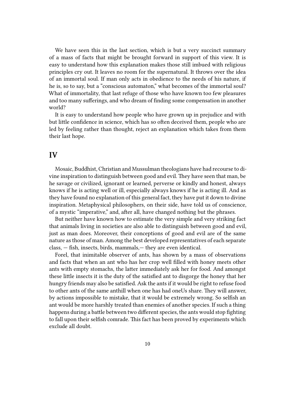We have seen this in the last section, which is but a very succinct summary of a mass of facts that might be brought forward in support of this view. It is easy to understand how this explanation makes those still imbued with religious principles cry out. It leaves no room for the supernatural. It throws over the idea of an immortal soul. If man only acts in obedience to the needs of his nature, if he is, so to say, but a "conscious automaton," what becomes of the immortal soul? What of immortality, that last refuge of those who have known too few pleasures and too many sufferings, and who dream of finding some compensation in another world?

It is easy to understand how people who have grown up in prejudice and with but little confidence in science, which has so often deceived them, people who are led by feeling rather than thought, reject an explanation which takes from them their last hope.

#### <span id="page-9-0"></span>**IV**

Mosaic, Buddhist, Christian and Mussulman theologians have had recourse to divine inspiration to distinguish between good and evil. They have seen that man, be he savage or civilized, ignorant or learned, perverse or kindly and honest, always knows if he is acting well or ill, especially always knows if he is acting ill. And as they have found no explanation of this general fact, they have put it down to divine inspiration. Metaphysical philosophers, on their side, have told us of conscience, of a mystic "imperative," and, after all, have changed nothing but the phrases.

But neither have known how to estimate the very simple and very striking fact that animals living in societies are also able to distinguish between good and evil, just as man does. Moreover, their conceptions of good and evil are of the same nature as those of man. Among the best developed representatives of each separate class, — fish, insects, birds, mammals,— they are even identical.

Forel, that inimitable observer of ants, has shown by a mass of observations and facts that when an ant who has her crop well filled with honey meets other ants with empty stomachs, the latter immediately ask her for food. And amongst these little insects it is the duty of the satisfied ant to disgorge the honey that her hungry friends may also be satisfied. Ask the ants if it would be right to refuse food to other ants of the same anthill when one has had oneUs share. They will answer, by actions impossible to mistake, that it would be extremely wrong. So selfish an ant would be more harshly treated than enemies of another species. If such a thing happens during a battle between two different species, the ants would stop fighting to fall upon their selfish comrade. This fact has been proved by experiments which exclude all doubt.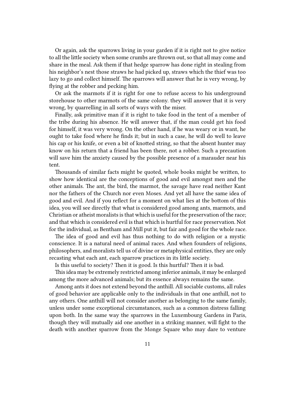Or again, ask the sparrows living in your garden if it is right not to give notice to all the little society when some crumbs are thrown out, so that all may come and share in the meal. Ask them if that hedge sparrow has done right in stealing from his neighbor's nest those straws he had picked up, straws which the thief was too lazy to go and collect himself. The sparrows will answer that he is very wrong, by flying at the robber and pecking him.

Or ask the marmots if it is right for one to refuse access to his underground storehouse to other marmots of the same colony. they will answer that it is very wrong, by quarrelling in all sorts of ways with the miser.

Finally, ask primitive man if it is right to take food in the tent of a member of the tribe during his absence. He will answer that, if the man could get his food for himself, it was very wrong. On the other hand, if he was weary or in want, he ought to take food where he finds it; but in such a case, he will do well to leave his cap or his knife, or even a bit of knotted string, so that the absent hunter may know on his return that a friend has been there, not a robber. Such a precaution will save him the anxiety caused by the possible presence of a marauder near his tent.

Thousands of similar facts might be quoted, whole books might be written, to show how identical are the conceptions of good and evil amongst men and the other animals. The ant, the bird, the marmot, the savage have read neither Kant nor the fathers of the Church nor even Moses. And yet all have the same idea of good and evil. And if you reflect for a moment on what lies at the bottom of this idea, you will see directly that what is considered good among ants, marmots, and Christian or atheist moralists is that which is useful for the preservation of the race; and that which is considered evil is that which is hurtful for race preservation. Not for the individual, as Bentham and Mill put it, but fair and good for the whole race.

The idea of good and evil has thus nothing to do with religion or a mystic conscience. It is a natural need of animal races. And when founders of religions, philosophers, and moralists tell us of divine or metaphysical entities, they are only recasting what each ant, each sparrow practices in its little society.

Is this useful to society? Then it is good. Is this hurtful? Then it is bad.

This idea may be extremely restricted among inferior animals, it may be enlarged among the more advanced animals; but its essence always remains the same.

Among ants it does not extend beyond the anthill. All sociable customs, all rules of good behavior are applicable only to the individuals in that one anthill, not to any others. One anthill will not consider another as belonging to the same family, unless under some exceptional circumstances, such as a common distress falling upon both. In the same way the sparrows in the Luxembourg Gardens in Paris, though they will mutually aid one another in a striking manner, will fight to the death with another sparrow from the Monge Square who may dare to venture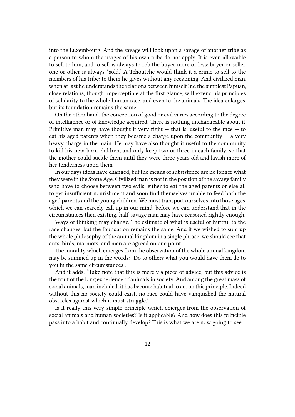into the Luxembourg. And the savage will look upon a savage of another tribe as a person to whom the usages of his own tribe do not apply. It is even allowable to sell to him, and to sell is always to rob the buyer more or less; buyer or seller, one or other is always "sold." A Tchoutche would think it a crime to sell to the members of his tribe: to them he gives without any reckoning. And civilized man, when at last he understands the relations between himself Ind the simplest Papuan, close relations, though imperceptible at the first glance, will extend his principles of solidarity to the whole human race, and even to the animals. The idea enlarges, but its foundation remains the same.

On the other hand, the conception of good or evil varies according to the degree of intelligence or of knowledge acquired. There is nothing unchangeable about it. Primitive man may have thought it very right  $-$  that is, useful to the race  $-$  to eat his aged parents when they became a charge upon the community  $-$  a very heavy charge in the main. He may have also thought it useful to the community to kill his new-born children, and only keep two or three in each family, so that the mother could suckle them until they were three years old and lavish more of her tenderness upon them.

In our days ideas have changed, but the means of subsistence are no longer what they were in the Stone Age. Civilized man is not in the position of the savage family who have to choose between two evils: either to eat the aged parents or else all to get insufficient nourishment and soon find themselves unable to feed both the aged parents and the young children. We must transport ourselves into those ages, which we can scarcely call up in our mind, before we can understand that in the circumstances then existing, half-savage man may have reasoned rightly enough.

Ways of thinking may change. The estimate of what is useful or hurtful to the race changes, but the foundation remains the same. And if we wished to sum up the whole philosophy of the animal kingdom in a single phrase, we should see that ants, birds, marmots, and men are agreed on one point.

The morality which emerges from the observation of the whole animal kingdom may be summed up in the words: "Do to others what you would have them do to you in the same circumstances".

And it adds: "Take note that this is merely a piece of advice; but this advice is the fruit of the long experience of animals in society. And among the great mass of social animals, man included, it has become habitual to act on this principle. Indeed without this no society could exist, no race could have vanquished the natural obstacles against which it must struggle."

Is it really this very simple principle which emerges from the observation of social animals and human societies? Is it applicable? And how does this principle pass into a habit and continually develop? This is what we are now going to see.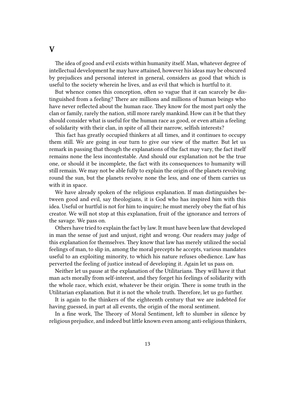The idea of good and evil exists within humanity itself. Man, whatever degree of intellectual development he may have attained, however his ideas may be obscured by prejudices and personal interest in general, considers as good that which is useful to the society wherein he lives, and as evil that which is hurtful to it.

But whence comes this conception, often so vague that it can scarcely be distinguished from a feeling? There are millions and millions of human beings who have never reflected about the human race. They know for the most part only the clan or family, rarely the nation, still more rarely mankind. How can it be that they should consider what is useful for the human race as good, or even attain a feeling of solidarity with their clan, in spite of all their narrow, selfish interests?

This fact has greatly occupied thinkers at all times, and it continues to occupy them still. We are going in our turn to give our view of the matter. But let us remark in passing that though the explanations of the fact may vary, the fact itself remains none the less incontestable. And should our explanation not be the true one, or should it be incomplete, the fact with its consequences to humanity will still remain. We may not be able fully to explain the origin of the planets revolving round the sun, but the planets revolve none the less, and one of them carries us with it in space.

We have already spoken of the religious explanation. If man distinguishes between good and evil, say theologians, it is God who has inspired him with this idea. Useful or hurtful is not for him to inquire; he must merely obey the fiat of his creator. We will not stop at this explanation, fruit of the ignorance and terrors of the savage. We pass on.

Others have tried to explain the fact by law. It must have been law that developed in man the sense of just and unjust, right and wrong. Our readers may judge of this explanation for themselves. They know that law has merely utilized the social feelings of man, to slip in, among the moral precepts he accepts, various mandates useful to an exploiting minority, to which his nature refuses obedience. Law has perverted the feeling of justice instead of developing it. Again let us pass on.

Neither let us pause at the explanation of the Utilitarians. They will have it that man acts morally from self-interest, and they forget his feelings of solidarity with the whole race, which exist, whatever be their origin. There is some truth in the Utilitarian explanation. But it is not the whole truth. Therefore, let us go further.

It is again to the thinkers of the eighteenth century that we are indebted for having guessed, in part at all events, the origin of the moral sentiment.

In a fine work, The Theory of Moral Sentiment, left to slumber in silence by religious prejudice, and indeed but little known even among anti-religious thinkers,

#### <span id="page-12-0"></span>**V**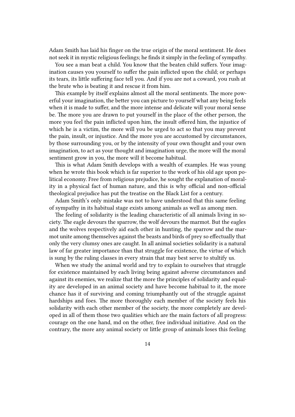Adam Smith has laid his finger on the true origin of the moral sentiment. He does not seek it in mystic religious feelings; he finds it simply in the feeling of sympathy.

You see a man beat a child. You know that the beaten child suffers. Your imagination causes you yourself to suffer the pain inflicted upon the child; or perhaps its tears, its little suffering face tell you. And if you are not a coward, you rush at the brute who is beating it and rescue it from him.

This example by itself explains almost all the moral sentiments. The more powerful your imagination, the better you can picture to yourself what any being feels when it is made to suffer, and the more intense and delicate will your moral sense be. The more you are drawn to put yourself in the place of the other person, the more you feel the pain inflicted upon him, the insult offered him, the injustice of which he is a victim, the more will you be urged to act so that you may prevent the pain, insult, or injustice. And the more you are accustomed by circumstances, by those surrounding you, or by the intensity of your own thought and your own imagination, to act as your thought and imagination urge, the more will the moral sentiment grow in you, the more will it become habitual.

This is what Adam Smith develops with a wealth of examples. He was young when he wrote this book which is far superior to the work of his old age upon political economy. Free from religious prejudice, he sought the explanation of morality in a physical fact of human nature, and this is why official and non-official theological prejudice has put the treatise on the Black List for a century.

Adam Smith's only mistake was not to have understood that this same feeling of sympathy in its habitual stage exists among animals as well as among men.

The feeling of solidarity is the leading characteristic of all animals living in society. The eagle devours the sparrow, the wolf devours the marmot. But the eagles and the wolves respectively aid each other in hunting, the sparrow and the marmot unite among themselves against the beasts and birds of prey so effectually that only the very clumsy ones are caught. In all animal societies solidarity is a natural law of far greater importance than that struggle for existence, the virtue of which is sung by the ruling classes in every strain that may best serve to stultify us.

When we study the animal world and try to explain to ourselves that struggle for existence maintained by each living being against adverse circumstances and against its enemies, we realize that the more the principles of solidarity and equality are developed in an animal society and have become habitual to it, the more chance has it of surviving and coming triumphantly out of the struggle against hardships and foes. The more thoroughly each member of the society feels his solidarity with each other member of the society, the more completely are developed in all of them those two qualities which are the main factors of all progress: courage on the one hand, md on the other, free individual initiative. And on the contrary, the more any animal society or little group of animals loses this feeling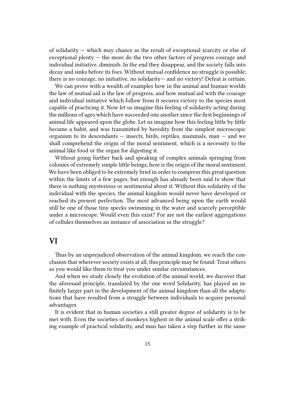of solidarity — which may chance as the result of exceptional scarcity or else of exceptional plenty — the more do the two other factors of progress courage and individual initiative, diminish. In the end they disappear, and the society falls into decay and sinks before its foes. Without mutual confidence no struggle is possible; there is no courage, no initiative, no solidarity— and no victory! Defeat is certain.

We can prove with a wealth of examples how in the animal and human worlds the law of mutual aid is the law of progress, and how mutual aid with the courage and individual initiative which follow from it secures victory to the species most capable of practicing it. Now let us imagine this feeling of solidarity acting during the millions of ages which have succeeded one another since the first beginnings of animal life appeared upon the globe. Let us imagine how this feeling little by little became a habit, and was transmitted by heredity from the simplest microscopic organism to its descendants  $-$  insects, birds, reptiles, mammals, man  $-$  and we shall comprehend the origin of the moral sentiment, which is a necessity to the animal like food or the organ for digesting it.

Without going further back and speaking of complex animals springing from colonies of extremely simple little beings, here is the origin of the moral sentiment. We have been obliged to be extremely brief in order to compress this great question within the limits of a few pages, but enough has already been said to show that there is nothing mysterious or sentimental about it. Without this solidarity of the individual with the species, the animal kingdom would never have developed or reached its present perfection. The most advanced being upon the earth would still be one of those tiny specks swimming in the water and scarcely perceptible under a microscope. Would even this exist? For are not the earliest aggregations of cellules themselves an instance of association in the struggle?

### <span id="page-14-0"></span>**VI**

Thus by an unprejudiced observation of the animal kingdom, we reach the conclusion that wherever society exists at all, this principle may be found: Treat others as you would like them to treat you under similar circumstances.

And when we study closely the evolution of the animal world, we discover that the aforesaid principle, translated by the one word Solidarity, has played an infinitely larger part in the development of the animal kingdom than all the adaptations that have resulted from a struggle between individuals to acquire personal advantages.

It is evident that in human societies a still greater degree of solidarity is to be met with. Even the societies of monkeys highest in the animal scale offer a striking example of practical solidarity, and man has taken a step further in the same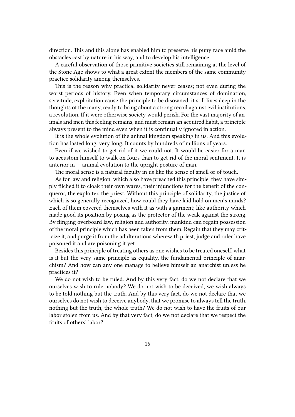direction. This and this alone has enabled him to preserve his puny race amid the obstacles cast by nature in his way, and to develop his intelligence.

A careful observation of those primitive societies still remaining at the level of the Stone Age shows to what a great extent the members of the same community practice solidarity among themselves.

This is the reason why practical solidarity never ceases; not even during the worst periods of history. Even when temporary circumstances of domination, servitude, exploitation cause the principle to be disowned, it still lives deep in the thoughts of the many, ready to bring about a strong recoil against evil institutions, a revolution. If it were otherwise society would perish. For the vast majority of animals and men this feeling remains, and must remain an acquired habit, a principle always present to the mind even when it is continually ignored in action.

It is the whole evolution of the animal kingdom speaking in us. And this evolution has lasted long, very long. It counts by hundreds of millions of years.

Even if we wished to get rid of it we could not. It would be easier for a man to accustom himself to walk on fours than to get rid of the moral sentiment. It is anterior in  $-$  animal evolution to the upright posture of man.

The moral sense is a natural faculty in us like the sense of smell or of touch.

As for law and religion, which also have preached this principle, they have simply filched it to cloak their own wares, their injunctions for the benefit of the conqueror, the exploiter, the priest. Without this principle of solidarity, the justice of which is so generally recognized, how could they have laid hold on men's minds? Each of them covered themselves with it as with a garment; like authority which made good its position by posing as the protector of the weak against the strong. By flinging overboard law, religion and authority, mankind can regain possession of the moral principle which has been taken from them. Regain that they may criticize it, and purge it from the adulterations wherewith priest, judge and ruler have poisoned it and are poisoning it yet.

Besides this principle of treating others as one wishes to be treated oneself, what is it but the very same principle as equality, the fundamental principle of anarchism? And how can any one manage to believe himself an anarchist unless he practices it?

We do not wish to be ruled. And by this very fact, do we not declare that we ourselves wish to rule nobody? We do not wish to be deceived, we wish always to be told nothing but the truth. And by this very fact, do we not declare that we ourselves do not wish to deceive anybody, that we promise to always tell the truth, nothing but the truth, the whole truth? We do not wish to have the fruits of our labor stolen from us. And by that very fact, do we not declare that we respect the fruits of others' labor?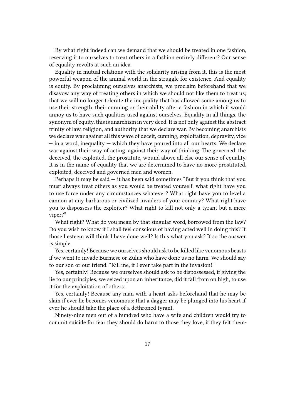By what right indeed can we demand that we should be treated in one fashion, reserving it to ourselves to treat others in a fashion entirely different? Our sense of equality revolts at such an idea.

Equality in mutual relations with the solidarity arising from it, this is the most powerful weapon of the animal world in the struggle for existence. And equality is equity. By proclaiming ourselves anarchists, we proclaim beforehand that we disavow any way of treating others in which we should not like them to treat us; that we will no longer tolerate the inequality that has allowed some among us to use their strength, their cunning or their ability after a fashion in which it would annoy us to have such qualities used against ourselves. Equality in all things, the synonym of equity, this is anarchism in very deed. It is not only against the abstract trinity of law, religion, and authority that we declare war. By becoming anarchists we declare war against all this wave of deceit, cunning, exploitation, depravity, vice — in a word, inequality — which they have poured into all our hearts. We declare war against their way of acting, against their way of thinking. The governed, the deceived, the exploited, the prostitute, wound above all else our sense of equality. It is in the name of equality that we are determined to have no more prostituted, exploited, deceived and governed men and women.

Perhaps it may be said  $-$  it has been said sometimes "But if you think that you must always treat others as you would be treated yourself, what right have you to use force under any circumstances whatever? What right have you to level a cannon at any barbarous or civilized invaders of your country? What right have you to dispossess the exploiter? What right to kill not only a tyrant but a mere viper?"

What right? What do you mean by that singular word, borrowed from the law? Do you wish to know if I shall feel conscious of having acted well in doing this? If those I esteem will think I have done well? Is this what you ask? If so the answer is simple.

Yes, certainly! Because we ourselves should ask to be killed like venomous beasts if we went to invade Burmese or Zulus who have done us no harm. We should say to our son or our friend: "Kill me, if I ever take part in the invasion!"

Yes, certainly! Because we ourselves should ask to be dispossessed, if giving the lie to our principles, we seized upon an inheritance, did it fall from on high, to use it for the exploitation of others.

Yes, certainly! Because any man with a heart asks beforehand that he may be slain if ever he becomes venomous; that a dagger may be plunged into his heart if ever he should take the place of a dethroned tyrant.

Ninety-nine men out of a hundred who have a wife and children would try to commit suicide for fear they should do harm to those they love, if they felt them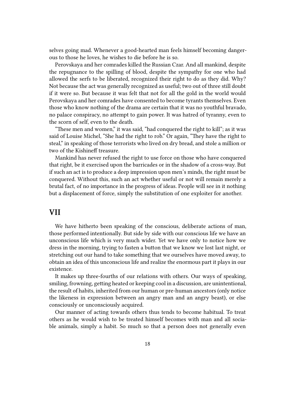selves going mad. Whenever a good-hearted man feels himself becoming dangerous to those he loves, he wishes to die before he is so.

Perovskaya and her comrades killed the Russian Czar. And all mankind, despite the repugnance to the spilling of blood, despite the sympathy for one who had allowed the serfs to be liberated, recognized their right to do as they did. Why? Not because the act was generally recognized as useful; two out of three still doubt if it were so. But because it was felt that not for all the gold in the world would Perovskaya and her comrades have consented to become tyrants themselves. Even those who know nothing of the drama are certain that it was no youthful bravado, no palace conspiracy, no attempt to gain power. It was hatred of tyranny, even to the scorn of self, even to the death.

"These men and women," it was said, "had conquered the right to kill"; as it was said of Louise Michel, "She had the right to rob." Or again, "They have the right to steal," in speaking of those terrorists who lived on dry bread, and stole a million or two of the Kishineff treasure.

Mankind has never refused the right to use force on those who have conquered that right, be it exercised upon the barricades or in the shadow of a cross-way. But if such an act is to produce a deep impression upon men's minds, the right must be conquered. Without this, such an act whether useful or not will remain merely a brutal fact, of no importance in the progress of ideas. People will see in it nothing but a displacement of force, simply the substitution of one exploiter for another.

#### **VII**

We have hitherto been speaking of the conscious, deliberate actions of man, those performed intentionally. But side by side with our conscious life we have an unconscious life which is very much wider. Yet we have only to notice how we dress in the morning, trying to fasten a button that we know we lost last night, or stretching out our hand to take something that we ourselves have moved away, to obtain an idea of this unconscious life and realize the enormous part it plays in our existence.

It makes up three-fourths of our relations with others. Our ways of speaking, smiling, frowning, getting heated or keeping cool in a discussion, are unintentional, the result of habits, inherited from our human or pre-human ancestors (only notice the likeness in expression between an angry man and an angry beast), or else consciously or unconsciously acquired.

Our manner of acting towards others thus tends to become habitual. To treat others as he would wish to be treated himself becomes with man and all sociable animals, simply a habit. So much so that a person does not generally even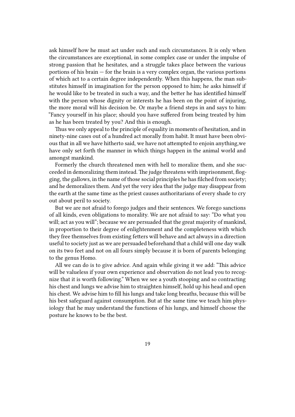ask himself how he must act under such and such circumstances. It is only when the circumstances are exceptional, in some complex case or under the impulse of strong passion that he hesitates, and a struggle takes place between the various portions of his brain — for the brain is a very complex organ, the various portions of which act to a certain degree independently. When this happens, the man substitutes himself in imagination for the person opposed to him; he asks himself if he would like to be treated in such a way, and the better he has identified himself with the person whose dignity or interests he has been on the point of injuring, the more moral will his decision be. Or maybe a friend steps in and says to him: "Fancy yourself in his place; should you have suffered from being treated by him as he has been treated by you? And this is enough.

Thus we only appeal to the principle of equality in moments of hesitation, and in ninety-nine cases out of a hundred act morally from habit. It must have been obvious that in all we have hitherto said, we have not attempted to enjoin anything,we have only set forth the manner in which things happen in the animal world and amongst mankind.

Formerly the church threatened men with hell to moralize them, and she succeeded in demoralizing them instead. The judge threatens with imprisonment, flogging, the gallows, in the name of those social principles he has filched from society; and he demoralizes them. And yet the very idea that the judge may disappear from the earth at the same time as the priest causes authoritarians of every shade to cry out about peril to society.

But we are not afraid to forego judges and their sentences. We forego sanctions of all kinds, even obligations to morality. We are not afraid to say: "Do what you will; act as you will"; because we are persuaded that the great majority of mankind, in proportion to their degree of enlightenment and the completeness with which they free themselves from existing fetters will behave and act always in a direction useful to society just as we are persuaded beforehand that a child will one day walk on its two feet and not on all fours simply because it is born of parents belonging to the genus Homo.

All we can do is to give advice. And again while giving it we add: "This advice will be valueless if your own experience and observation do not lead you to recognize that it is worth following." When we see a youth stooping and so contracting his chest and lungs we advise him to straighten himself, hold up his head and open his chest. We advise him to fill his lungs and take long breaths, because this will be his best safeguard against consumption. But at the same time we teach him physiology that he may understand the functions of his lungs, and himself choose the posture he knows to be the best.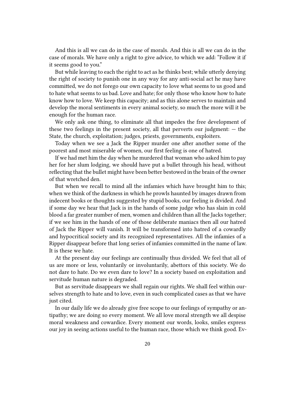And this is all we can do in the case of morals. And this is all we can do in the case of morals. We have only a right to give advice, to which we add: "Follow it if it seems good to you."

But while leaving to each the right to act as he thinks best; while utterly denying the right of society to punish one in any way for any anti-social act he may have committed, we do not forego our own capacity to love what seems to us good and to hate what seems to us bad. Love and hate; for only those who know how to hate know how to love. We keep this capacity; and as this alone serves to maintain and develop the moral sentiments in every animal society, so much the more will it be enough for the human race.

We only ask one thing, to eliminate all that impedes the free development of these two feelings in the present society, all that perverts our judgment: — the State, the church, exploitation; judges, priests, governments, exploiters.

Today when we see a Jack the Ripper murder one after another some of the poorest and most miserable of women, our first feeling is one of hatred.

If we had met him the day when he murdered that woman who asked him to pay her for her slum lodging, we should have put a bullet through his head, without reflecting that the bullet might have been better bestowed in the brain of the owner of that wretched den.

But when we recall to mind all the infamies which have brought him to this; when we think of the darkness in which he prowls haunted by images drawn from indecent books or thoughts suggested by stupid books, our feeling is divided. And if some day we hear that Jack is in the hands of some judge who has slain in cold blood a far greater number of men, women and children than all the Jacks together; if we see him in the hands of one of those deliberate maniacs then all our hatred of Jack the Ripper will vanish. It will be transformed into hatred of a cowardly and hypocritical society and its recognized representatives. All the infamies of a Ripper disappear before that long series of infamies committed in the name of law. It is these we hate.

At the present day our feelings are continually thus divided. We feel that all of us are more or less, voluntarily or involuntarily, abettors of this society. We do not dare to hate. Do we even dare to love? In a society based on exploitation and servitude human nature is degraded.

But as servitude disappears we shall regain our rights. We shall feel within ourselves strength to hate and to love, even in such complicated cases as that we have just cited.

In our daily life we do already give free scope to our feelings of sympathy or antipathy; we are doing so every moment. We all love moral strength we all despise moral weakness and cowardice. Every moment our words, looks, smiles express our joy in seeing actions useful to the human race, those which we think good. Ev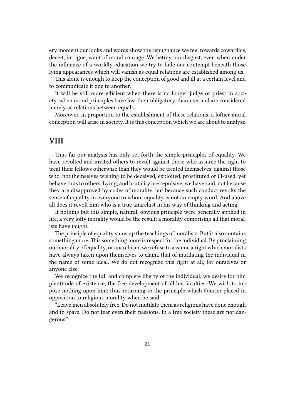ery moment our looks and words show the repugnance we feel towards cowardice, deceit, intrigue, want of moral courage. We betray our disgust, even when under the influence of a worldly education we try to hide our contempt beneath those lying appearances which will vanish as equal relations are established among us.

This alone is enough to keep the conception of good and ill at a certain level and to communicate it one to another.

It will be still more efficient when there is no longer judge or priest in society, when moral principles have lost their obligatory character and are considered merely as relations between equals.

Moreover, in proportion to the establishment of these relations, a loftier moral conception will arise in society. It is this conception which we are about to analyze.

## **VIII**

Thus far our analysis has only set forth the simple principles of equality. We have revolted and invited others to revolt against those who assume the right to treat their fellows otherwise than they would be treated themselves; against those who, not themselves wishing to be deceived, exploited, prostituted or ill-used, yet behave thus to others. Lying, and brutality are repulsive, we have said, not because they are disapproved by codes of morality, but because such conduct revolts the sense of equality in everyone to whom equality is not an empty word. And above all does it revolt him who is a true anarchist in his way of thinking and acting.

If nothing but this simple, natural, obvious principle were generally applied in life, a very lofty morality would be the result; a morality comprising all that moralists have taught.

The principle of equality sums up the teachings of moralists. But it also contains something more. This something more is respect for the individual. By proclaiming our morality of equality, or anarchism, we refuse to assume a right which moralists have always taken upon themselves to claim, that of mutilating the individual in the name of some ideal. We do not recognize this right at all, for ourselves or anyone else.

We recognize the full and complete liberty of the individual; we desire for him plentitude of existence, the free development of all his faculties. We wish to impose nothing upon him; thus returning to the principle which Fourier placed in opposition to religious morality when he said:

"Leave men absolutely free. Do not mutilate them as religions have done enough and to spare. Do not fear even their passions. In a free society these are not dangerous."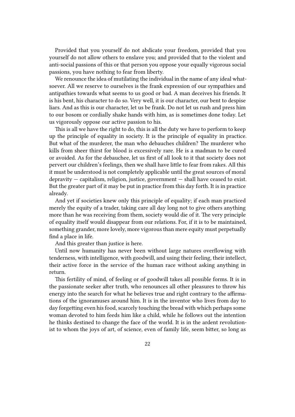Provided that you yourself do not abdicate your freedom, provided that you yourself do not allow others to enslave you; and provided that to the violent and anti-social passions of this or that person you oppose your equally vigorous social passions, you have nothing to fear from liberty.

We renounce the idea of mutilating the individual in the name of any ideal whatsoever. All we reserve to ourselves is the frank expression of our sympathies and antipathies towards what seems to us good or bad. A man deceives his friends. It is his bent, his character to do so. Very well, it is our character, our bent to despise liars. And as this is our character, let us be frank. Do not let us rush and press him to our bosom or cordially shake hands with him, as is sometimes done today. Let us vigorously oppose our active passion to his.

This is all we have the right to do, this is all the duty we have to perform to keep up the principle of equality in society. It is the principle of equality in practice. But what of the murderer, the man who debauches children? The murderer who kills from sheer thirst for blood is excessively rare. He is a madman to be cured or avoided. As for the debauchee, let us first of all look to it that society does not pervert our children's feelings, then we shall have little to fear from rakes. All this it must be understood is not completely applicable until the great sources of moral depravity — capitalism, religion, justice, government — shall have ceased to exist. But the greater part of it may be put in practice from this day forth. It is in practice already.

And yet if societies knew only this principle of equality; if each man practiced merely the equity of a trader, taking care all day long not to give others anything more than he was receiving from them, society would die of it. The very principle of equality itself would disappear from our relations. For, if it is to be maintained, something grander, more lovely, more vigorous than mere equity must perpetually find a place in life.

And this greater than justice is here.

Until now humanity has never been without large natures overflowing with tenderness, with intelligence, with goodwill, and using their feeling, their intellect, their active force in the service of the human race without asking anything in return.

This fertility of mind, of feeling or of goodwill takes all possible forms. It is in the passionate seeker after truth, who renounces all other pleasures to throw his energy into the search for what he believes true and right contrary to the affirmations of the ignoramuses around him. It is in the inventor who lives from day to day forgetting even his food, scarcely touching the bread with which perhaps some woman devoted to him feeds him like a child, while he follows out the intention he thinks destined to change the face of the world. It is in the ardent revolutionist to whom the joys of art, of science, even of family life, seem bitter, so long as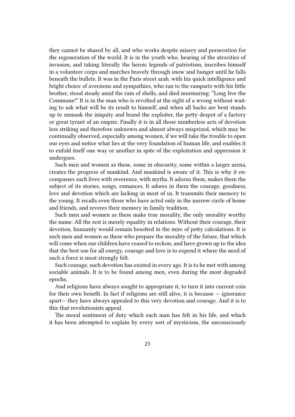they cannot be shared by all, and who works despite misery and persecution for the regeneration of the world. It is in the youth who, hearing of the atrocities of invasion, and taking literally the heroic legends of patriotism, inscribes himself in a volunteer corps and marches bravely through snow and hunger until he falls beneath the bullets. It was in the Paris street arab, with his quick intelligence and bright choice of aversions and sympathies, who ran to the ramparts with his little brother, stood steady amid the rain of shells, and died murmuring: "Long live the Commune!" It is in the man who is revolted at the sight of a wrong without waiting to ask what will be its result to himself, and when all backs are bent stands up to unmask the iniquity and brand the exploiter, the petty despot of a factory or great tyrant of an empire. Finally it is in all those numberless acts of devotion less striking and therefore unknown and almost always misprized, which may be continually observed, especially among women, if we will take the trouble to open our eyes and notice what lies at the very foundation of human life, and enables it to enfold itself one way or another in spite of the exploitation and oppression it undergoes.

Such men and women as these, some in obscurity, some within a larger arena, creates the progress of mankind. And mankind is aware of it. This is why it encompasses such lives with reverence, with myths. It adorns them, makes them the subject of its stories, songs, romances. It adores in them the courage, goodness, love and devotion which are lacking in most of us. It transmits their memory to the young. It recalls even those who have acted only in the narrow circle of home and friends, and reveres their memory in family tradition.

Such men and women as these make true morality, the only morality worthy the name. All the rest is merely equality in relations. Without their courage, their devotion, humanity would remain besotted in the mire of petty calculations. It is such men and women as these who prepare the morality of the future, that which will come when our children have ceased to reckon, and have grown up to the idea that the best use for all energy, courage and love is to expend it where the need of such a force is most strongly felt.

Such courage, such devotion has existed in every age. It is to be met with among sociable animals. It is to be found among men, even during the most degraded epochs.

And religions have always sought to appropriate it, to turn it into current coin for their own benefit. In fact if religions are still alive, it is because  $-$  ignorance apart— they have always appealed to this very devotion and courage. And it is to this that revolutionists appeal.

The moral sentiment of duty which each man has felt in his life, and which it has been attempted to explain by every sort of mysticism, the unconsciously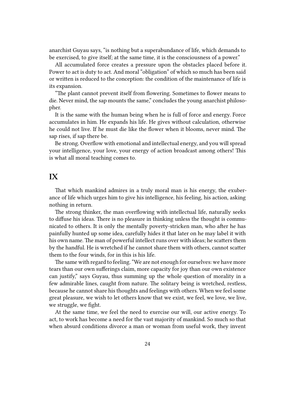anarchist Guyau says, "is nothing but a superabundance of life, which demands to be exercised, to give itself; at the same time, it is the consciousness of a power."

All accumulated force creates a pressure upon the obstacles placed before it. Power to act is duty to act. And moral "obligation" of which so much has been said or written is reduced to the conception: the condition of the maintenance of life is its expansion.

"The plant cannot prevent itself from flowering. Sometimes to flower means to die. Never mind, the sap mounts the same," concludes the young anarchist philosopher.

It is the same with the human being when he is full of force and energy. Force accumulates in him. He expands his life. He gives without calculation, otherwise he could not live. If he must die like the flower when it blooms, never mind. The sap rises, if sap there be.

Be strong. Overflow with emotional and intellectual energy, and you will spread your intelligence, your love, your energy of action broadcast among others! This is what all moral teaching comes to.

### **IX**

That which mankind admires in a truly moral man is his energy, the exuberance of life which urges him to give his intelligence, his feeling, his action, asking nothing in return.

The strong thinker, the man overflowing with intellectual life, naturally seeks to diffuse his ideas. There is no pleasure in thinking unless the thought is communicated to others. It is only the mentally poverty-stricken man, who after he has painfully hunted up some idea, carefully hides it that later on he may label it with his own name. The man of powerful intellect runs over with ideas; he scatters them by the handful. He is wretched if he cannot share them with others, cannot scatter them to the four winds, for in this is his life.

The same with regard to feeling. "We are not enough for ourselves: we have more tears than our own sufferings claim, more capacity for joy than our own existence can justify," says Guyau, thus summing up the whole question of morality in a few admirable lines, caught from nature. The solitary being is wretched, restless, because he cannot share his thoughts and feelings with others. When we feel some great pleasure, we wish to let others know that we exist, we feel, we love, we live, we struggle, we fight.

At the same time, we feel the need to exercise our will, our active energy. To act, to work has become a need for the vast majority of mankind. So much so that when absurd conditions divorce a man or woman from useful work, they invent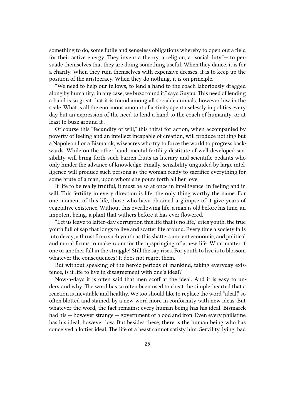something to do, some futile and senseless obligations whereby to open out a field for their active energy. They invent a theory, a religion, a "social duty"— to persuade themselves that they are doing something useful. When they dance, it is for a charity. When they ruin themselves with expensive dresses, it is to keep up the position of the aristocracy. When they do nothing, it is on principle.

"We need to help our fellows, to lend a hand to the coach laboriously dragged along by humanity; in any case, we buzz round it," says Guyau. This need of lending a hand is so great that it is found among all sociable animals, however low in the scale. What is all the enormous amount of activity spent uselessly in politics every day but an expression of the need to lend a hand to the coach of humanity, or at least to buzz around it .

Of course this "fecundity of will," this thirst for action, when accompanied by poverty of feeling and an intellect incapable of creation, will produce nothing but a Napoleon I or a Bismarck, wiseacres who try to force the world to progress backwards. While on the other hand, mental fertility destitute of well developed sensibility will bring forth such barren fruits as literary and scientific pedants who only hinder the advance of knowledge. Finally, sensibility unguided by large intelligence will produce such persons as the woman ready to sacrifice everything for some brute of a man, upon whom she pours forth all her love.

If life to be really fruitful, it must be so at once in intelligence, in feeling and in will. This fertility in every direction is life; the only thing worthy the name. For one moment of this life, those who have obtained a glimpse of it give years of vegetative existence. Without this overflowing life, a man is old before his time, an impotent being, a plant that withers before it has ever flowered.

"Let us leave to latter-day corruption this life that is no life," cries youth, the true youth full of sap that longs to live and scatter life around. Every time a society falls into decay, a thrust from such youth as this shatters ancient economic, and political and moral forms to make room for the upspringing of a new life. What matter if one or another fall in the struggle! Still the sap rises. For youth to live is to blossom whatever the consequences! It does not regret them.

But without speaking of the heroic periods of mankind, taking everyday existence, is it life to live in disagreement with one's ideal?

Now-a-days it is often said that men scoff at the ideal. And it is easy to understand why. The word has so often been used to cheat the simple-hearted that a reaction is inevitable and healthy. We too should like to replace the word "ideal," so often blotted and stained, by a new word more in conformity with new ideas. But whatever the word, the fact remains; every human being has his ideal. Bismarck had his — however strange — government of blood and iron. Even every philistine has his ideal, however low. But besides these, there is the human being who has conceived a loftier ideal. The life of a beast cannot satisfy him. Servility, lying, bad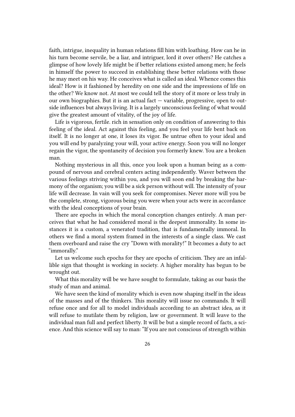faith, intrigue, inequality in human relations fill him with loathing. How can he in his turn become servile, be a liar, and intriguer, lord it over others? He catches a glimpse of how lovely life might be if better relations existed among men; he feels in himself the power to succeed in establishing these better relations with those he may meet on his way. He conceives what is called an ideal. Whence comes this ideal? How is it fashioned by heredity on one side and the impressions of life on the other? We know not. At most we could tell the story of it more or less truly in our own biographies. But it is an actual fact  $-$  variable, progressive, open to outside influences but always living. It is a largely unconscious feeling of what would give the greatest amount of vitality, of the joy of life.

Life is vigorous, fertile. rich in sensation only on condition of answering to this feeling of the ideal. Act against this feeling, and you feel your life bent back on itself. It is no longer at one, it loses its vigor. Be untrue often to your ideal and you will end by paralyzing your will, your active energy. Soon you will no longer regain the vigor, the spontaneity of decision you formerly knew. You are a broken man.

Nothing mysterious in all this, once you look upon a human being as a compound of nervous and cerebral centers acting independently. Waver between the various feelings striving within you, and you will soon end by breaking the harmony of the organism; you will be a sick person without will. The intensity of your life will decrease. In vain will you seek for compromises. Never more will you be the complete, strong, vigorous being you were when your acts were in accordance with the ideal conceptions of your brain.

There are epochs in which the moral conception changes entirely. A man perceives that what he had considered moral is the deepest immorality. In some instances it is a custom, a venerated tradition, that is fundamentally immoral. In others we find a moral system framed in the interests of a single class. We cast them overboard and raise the cry "Down with morality!" It becomes a duty to act "immorally."

Let us welcome such epochs for they are epochs of criticism. They are an infallible sign that thought is working in society. A higher morality has begun to be wrought out.

What this morality will be we have sought to formulate, taking as our basis the study of man and animal.

We have seen the kind of morality which is even now shaping itself in the ideas of the masses and of the thinkers. This morality will issue no commands. It will refuse once and for all to model individuals according to an abstract idea, as it will refuse to mutilate them by religion, law or government. It will leave to the individual man full and perfect liberty. It will be but a simple record of facts, a science. And this science will say to man: "If you are not conscious of strength within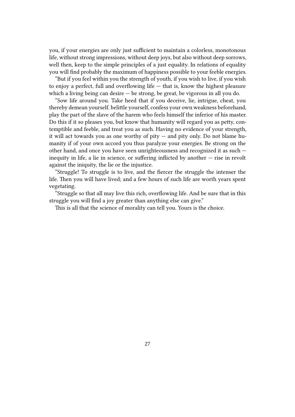you, if your energies are only just sufficient to maintain a colorless, monotonous life, without strong impressions, without deep joys, but also without deep sorrows, well then, keep to the simple principles of a just equality. In relations of equality you will find probably the maximum of happiness possible to your feeble energies.

"But if you feel within you the strength of youth, if you wish to live, if you wish to enjoy a perfect, full and overflowing life — that is, know the highest pleasure which a living being can desire — be strong, be great, be vigorous in all you do.

"Sow life around you. Take heed that if you deceive, lie, intrigue, cheat, you thereby demean yourself. belittle yourself, confess your own weakness beforehand, play the part of the slave of the harem who feels himself the inferior of his master. Do this if it so pleases you, but know that humanity will regard you as petty, contemptible and feeble, and treat you as such. Having no evidence of your strength, it will act towards you as one worthy of pity  $-$  and pity only. Do not blame humanity if of your own accord you thus paralyze your energies. Be strong on the other hand, and once you have seen unrighteousness and recognized it as such inequity in life, a lie in science, or suffering inflicted by another — rise in revolt against the iniquity, the lie or the injustice.

"Struggle! To struggle is to live, and the fiercer the struggle the intenser the life. Then you will have lived; and a few hours of such life are worth years spent vegetating.

"Struggle so that all may live this rich, overflowing life. And be sure that in this struggle you will find a joy greater than anything else can give."

This is all that the science of morality can tell you. Yours is the choice.